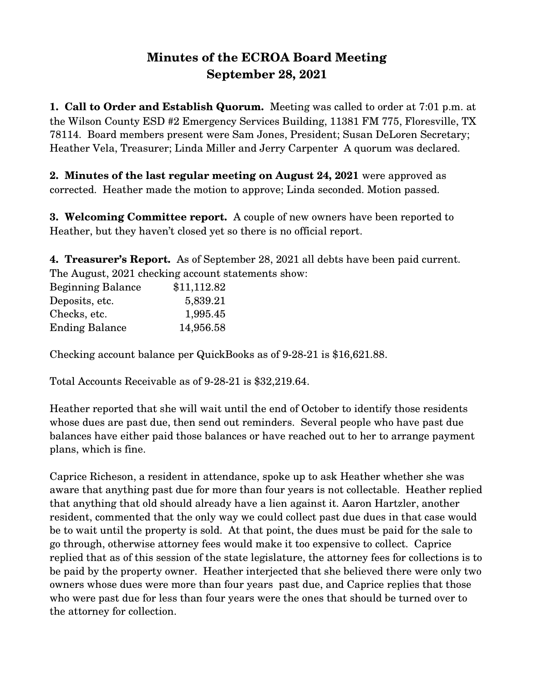## **Minutes of the ECROA Board Meeting September 28, 2021**

**1. Call to Order and Establish Quorum.** Meeting was called to order at 7:01 p.m. at the Wilson County ESD #2 Emergency Services Building, 11381 FM 775, Floresville, TX 78114. Board members present were Sam Jones, President; Susan DeLoren Secretary; Heather Vela, Treasurer; Linda Miller and Jerry Carpenter A quorum was declared.

**2. Minutes of the last regular meeting on August 24, 2021** were approved as corrected. Heather made the motion to approve; Linda seconded. Motion passed.

**3. Welcoming Committee report.** A couple of new owners have been reported to Heather, but they haven't closed yet so there is no official report.

**4. Treasurer's Report.** As of September 28, 2021 all debts have been paid current. The August, 2021 checking account statements show:

| <b>Beginning Balance</b> | \$11,112.82 |
|--------------------------|-------------|
| Deposits, etc.           | 5,839.21    |
| Checks, etc.             | 1,995.45    |
| <b>Ending Balance</b>    | 14,956.58   |

Checking account balance per QuickBooks as of 9-28-21 is \$16,621.88.

Total Accounts Receivable as of 9-28-21 is \$32,219.64.

Heather reported that she will wait until the end of October to identify those residents whose dues are past due, then send out reminders. Several people who have past due balances have either paid those balances or have reached out to her to arrange payment plans, which is fine.

Caprice Richeson, a resident in attendance, spoke up to ask Heather whether she was aware that anything past due for more than four years is not collectable. Heather replied that anything that old should already have a lien against it. Aaron Hartzler, another resident, commented that the only way we could collect past due dues in that case would be to wait until the property is sold. At that point, the dues must be paid for the sale to go through, otherwise attorney fees would make it too expensive to collect. Caprice replied that as of this session of the state legislature, the attorney fees for collections is to be paid by the property owner. Heather interjected that she believed there were only two owners whose dues were more than four years past due, and Caprice replies that those who were past due for less than four years were the ones that should be turned over to the attorney for collection.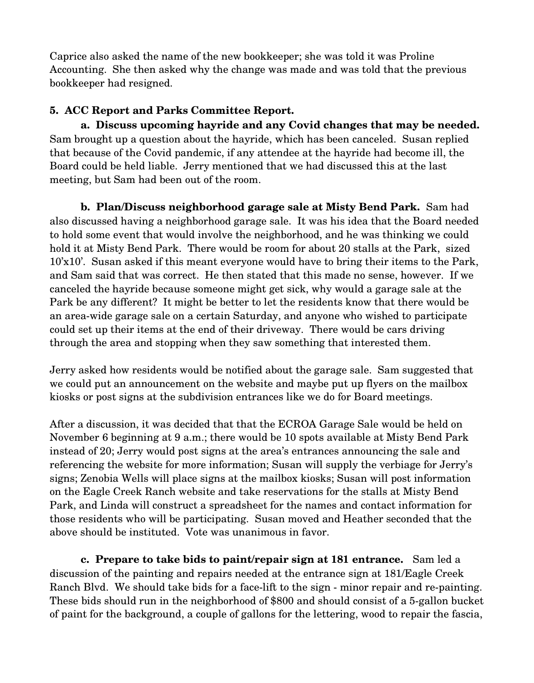Caprice also asked the name of the new bookkeeper; she was told it was Proline Accounting. She then asked why the change was made and was told that the previous bookkeeper had resigned.

## **5. ACC Report and Parks Committee Report.**

**a. Discuss upcoming hayride and any Covid changes that may be needed.**  Sam brought up a question about the hayride, which has been canceled. Susan replied that because of the Covid pandemic, if any attendee at the hayride had become ill, the Board could be held liable. Jerry mentioned that we had discussed this at the last meeting, but Sam had been out of the room.

**b. Plan/Discuss neighborhood garage sale at Misty Bend Park.** Sam had also discussed having a neighborhood garage sale. It was his idea that the Board needed to hold some event that would involve the neighborhood, and he was thinking we could hold it at Misty Bend Park. There would be room for about 20 stalls at the Park, sized 10'x10'. Susan asked if this meant everyone would have to bring their items to the Park, and Sam said that was correct. He then stated that this made no sense, however. If we canceled the hayride because someone might get sick, why would a garage sale at the Park be any different? It might be better to let the residents know that there would be an area-wide garage sale on a certain Saturday, and anyone who wished to participate could set up their items at the end of their driveway. There would be cars driving through the area and stopping when they saw something that interested them.

Jerry asked how residents would be notified about the garage sale. Sam suggested that we could put an announcement on the website and maybe put up flyers on the mailbox kiosks or post signs at the subdivision entrances like we do for Board meetings.

After a discussion, it was decided that that the ECROA Garage Sale would be held on November 6 beginning at 9 a.m.; there would be 10 spots available at Misty Bend Park instead of 20; Jerry would post signs at the area's entrances announcing the sale and referencing the website for more information; Susan will supply the verbiage for Jerry's signs; Zenobia Wells will place signs at the mailbox kiosks; Susan will post information on the Eagle Creek Ranch website and take reservations for the stalls at Misty Bend Park, and Linda will construct a spreadsheet for the names and contact information for those residents who will be participating. Susan moved and Heather seconded that the above should be instituted. Vote was unanimous in favor.

**c. Prepare to take bids to paint/repair sign at 181 entrance.** Sam led a discussion of the painting and repairs needed at the entrance sign at 181/Eagle Creek Ranch Blvd. We should take bids for a face-lift to the sign - minor repair and re-painting. These bids should run in the neighborhood of \$800 and should consist of a 5-gallon bucket of paint for the background, a couple of gallons for the lettering, wood to repair the fascia,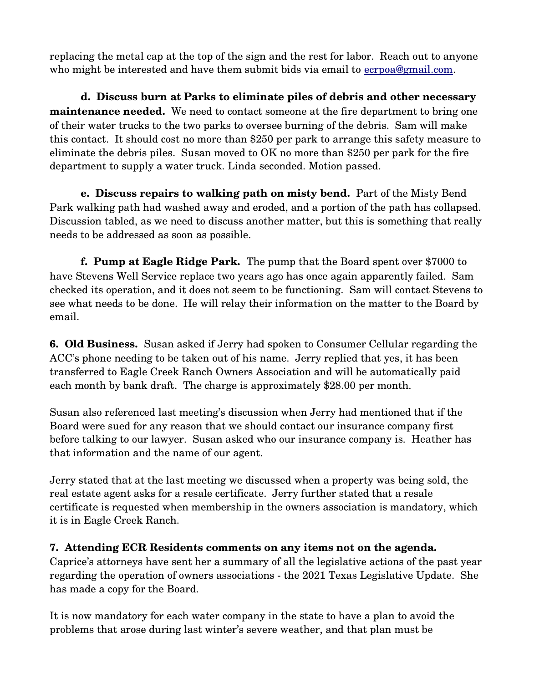replacing the metal cap at the top of the sign and the rest for labor. Reach out to anyone who might be interested and have them submit bids via email to ecrpoa@gmail.com.

**d. Discuss burn at Parks to eliminate piles of debris and other necessary maintenance needed.** We need to contact someone at the fire department to bring one of their water trucks to the two parks to oversee burning of the debris. Sam will make this contact. It should cost no more than \$250 per park to arrange this safety measure to eliminate the debris piles. Susan moved to OK no more than \$250 per park for the fire department to supply a water truck. Linda seconded. Motion passed.

**e. Discuss repairs to walking path on misty bend.** Part of the Misty Bend Park walking path had washed away and eroded, and a portion of the path has collapsed. Discussion tabled, as we need to discuss another matter, but this is something that really needs to be addressed as soon as possible.

**f. Pump at Eagle Ridge Park.** The pump that the Board spent over \$7000 to have Stevens Well Service replace two years ago has once again apparently failed. Sam checked its operation, and it does not seem to be functioning. Sam will contact Stevens to see what needs to be done. He will relay their information on the matter to the Board by email.

**6. Old Business.** Susan asked if Jerry had spoken to Consumer Cellular regarding the ACC's phone needing to be taken out of his name. Jerry replied that yes, it has been transferred to Eagle Creek Ranch Owners Association and will be automatically paid each month by bank draft. The charge is approximately \$28.00 per month.

Susan also referenced last meeting's discussion when Jerry had mentioned that if the Board were sued for any reason that we should contact our insurance company first before talking to our lawyer. Susan asked who our insurance company is. Heather has that information and the name of our agent.

Jerry stated that at the last meeting we discussed when a property was being sold, the real estate agent asks for a resale certificate. Jerry further stated that a resale certificate is requested when membership in the owners association is mandatory, which it is in Eagle Creek Ranch.

## **7. Attending ECR Residents comments on any items not on the agenda.**

Caprice's attorneys have sent her a summary of all the legislative actions of the past year regarding the operation of owners associations - the 2021 Texas Legislative Update. She has made a copy for the Board.

It is now mandatory for each water company in the state to have a plan to avoid the problems that arose during last winter's severe weather, and that plan must be